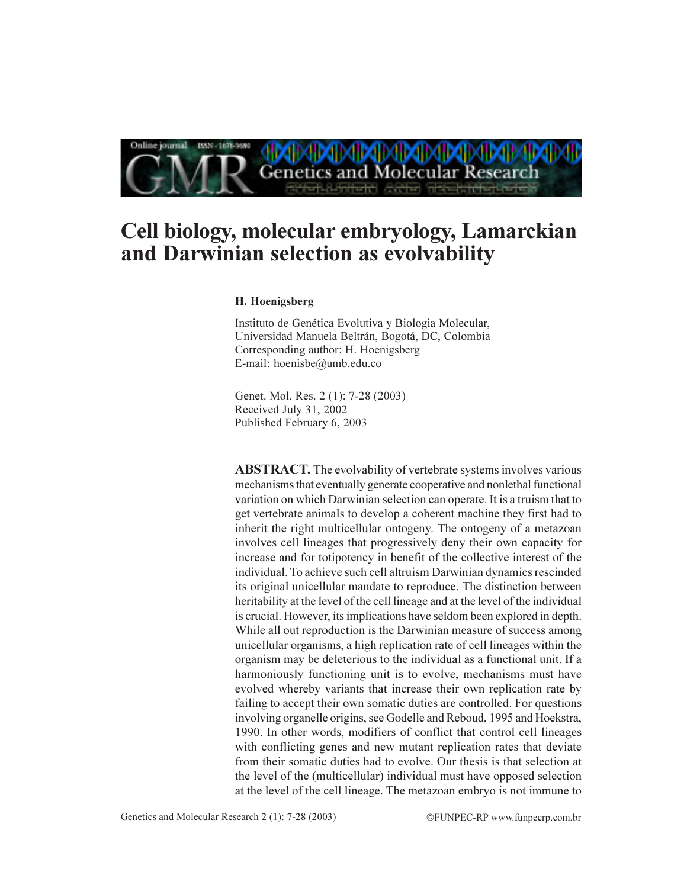

# Cell biology, molecular embryology, Lamarckian and Darwinian selection as evolvability

### H. Hoenigsberg

Instituto de Genética Evolutiva y Biologia Molecular, Universidad Manuela Beltrán, Bogotá, DC, Colombia Corresponding author: H. Hoenigsberg E-mail: hoenisbe@umb.edu.co

Genet. Mol. Res. 2 (1): 7-28 (2003) Received July 31, 2002 Published February 6, 2003

**ABSTRACT.** The evolvability of vertebrate systems involves various mechanisms that eventually generate cooperative and nonlethal functional variation on which Darwinian selection can operate. It is a truism that to get vertebrate animals to develop a coherent machine they first had to inherit the right multicellular ontogeny. The ontogeny of a metazoan involves cell lineages that progressively deny their own capacity for increase and for totipotency in benefit of the collective interest of the individual. To achieve such cell altruism Darwinian dynamics rescinded its original unicellular mandate to reproduce. The distinction between heritability at the level of the cell lineage and at the level of the individual is crucial. However, its implications have seldom been explored in depth. While all out reproduction is the Darwinian measure of success among unicellular organisms, a high replication rate of cell lineages within the organism may be deleterious to the individual as a functional unit. If a harmoniously functioning unit is to evolve, mechanisms must have evolved whereby variants that increase their own replication rate by failing to accept their own somatic duties are controlled. For questions involving organelle origins, see Godelle and Reboud, 1995 and Hoekstra, 1990. In other words, modifiers of conflict that control cell lineages with conflicting genes and new mutant replication rates that deviate from their somatic duties had to evolve. Our thesis is that selection at the level of the (multicellular) individual must have opposed selection at the level of the cell lineage. The metazoan embryo is not immune to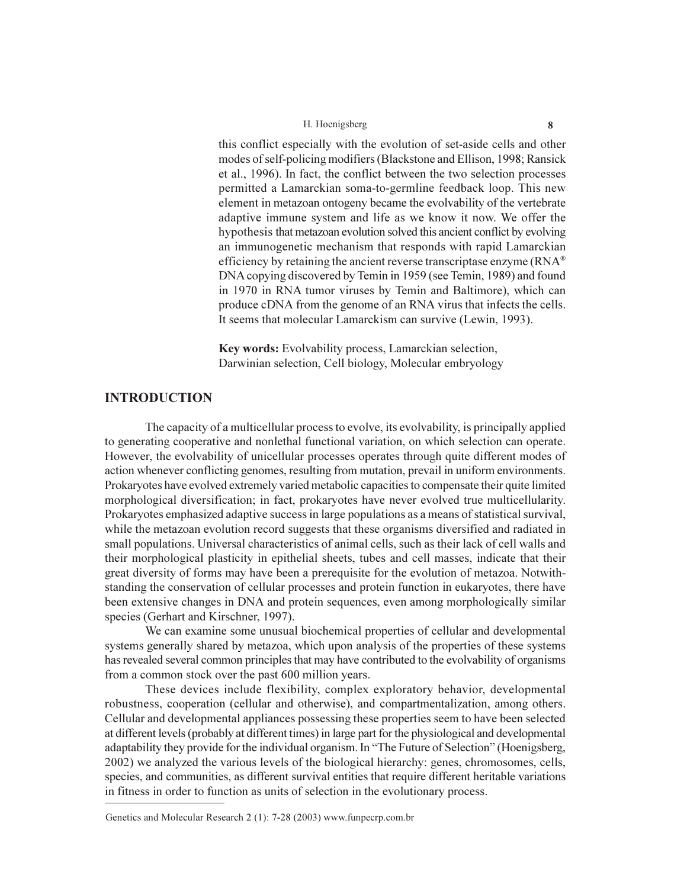this conflict especially with the evolution of set-aside cells and other modes of self-policing modifiers (Blackstone and Ellison, 1998; Ransick et al., 1996). In fact, the conflict between the two selection processes permitted a Lamarckian soma-to-germline feedback loop. This new element in metazoan ontogeny became the evolvability of the vertebrate adaptive immune system and life as we know it now. We offer the hypothesis that metazoan evolution solved this ancient conflict by evolving an immunogenetic mechanism that responds with rapid Lamarckian efficiency by retaining the ancient reverse transcriptase enzyme (RNA<sup>®</sup> DNA copying discovered by Temin in 1959 (see Temin, 1989) and found in 1970 in RNA tumor viruses by Temin and Baltimore), which can produce cDNA from the genome of an RNA virus that infects the cells. It seems that molecular Lamarckism can survive (Lewin, 1993).

Key words: Evolvability process, Lamarckian selection, Darwinian selection, Cell biology, Molecular embryology

# **INTRODUCTION**

The capacity of a multicellular process to evolve, its evolvability, is principally applied to generating cooperative and nonlethal functional variation, on which selection can operate. However, the evolvability of unicellular processes operates through quite different modes of action whenever conflicting genomes, resulting from mutation, prevail in uniform environments. Prokaryotes have evolved extremely varied metabolic capacities to compensate their quite limited morphological diversification; in fact, prokaryotes have never evolved true multicellularity. Prokaryotes emphasized adaptive success in large populations as a means of statistical survival, while the metazoan evolution record suggests that these organisms diversified and radiated in small populations. Universal characteristics of animal cells, such as their lack of cell walls and their morphological plasticity in epithelial sheets, tubes and cell masses, indicate that their great diversity of forms may have been a prerequisite for the evolution of metazoa. Notwithstanding the conservation of cellular processes and protein function in eukaryotes, there have been extensive changes in DNA and protein sequences, even among morphologically similar species (Gerhart and Kirschner, 1997).

We can examine some unusual biochemical properties of cellular and developmental systems generally shared by metazoa, which upon analysis of the properties of these systems has revealed several common principles that may have contributed to the evolvability of organisms from a common stock over the past 600 million years.

These devices include flexibility, complex exploratory behavior, developmental robustness, cooperation (cellular and otherwise), and compartmentalization, among others. Cellular and developmental appliances possessing these properties seem to have been selected at different levels (probably at different times) in large part for the physiological and developmental adaptability they provide for the individual organism. In "The Future of Selection" (Hoenigsberg, 2002) we analyzed the various levels of the biological hierarchy: genes, chromosomes, cells, species, and communities, as different survival entities that require different heritable variations in fitness in order to function as units of selection in the evolutionary process.

Genetics and Molecular Research 2 (1): 7-28 (2003) www.funpecrp.com.br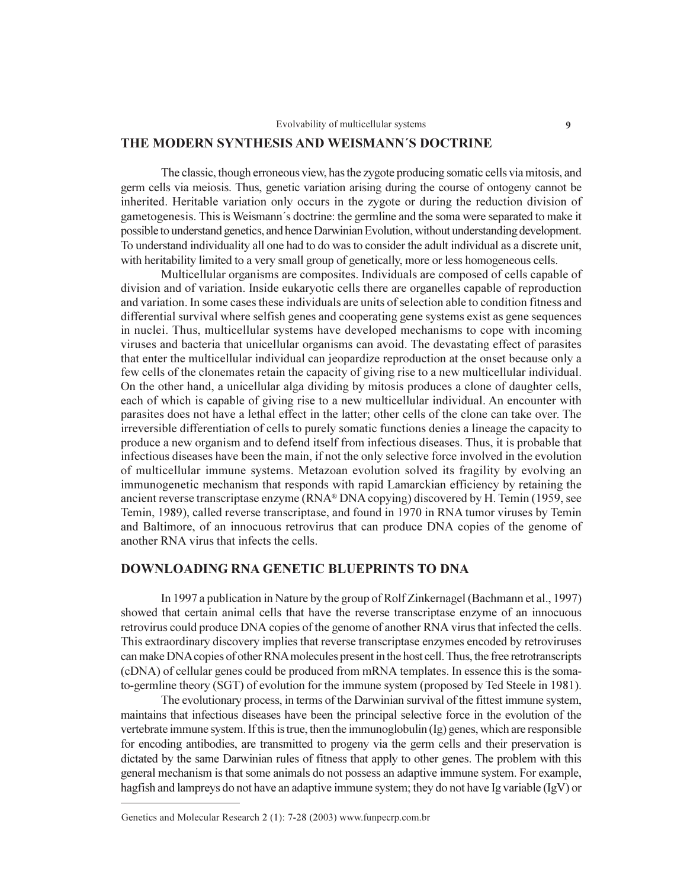### THE MODERN SYNTHESIS AND WEISMANN'S DOCTRINE

The classic, though erroneous view, has the zygote producing somatic cells via mitosis, and germ cells via meiosis. Thus, genetic variation arising during the course of ontogeny cannot be inherited. Heritable variation only occurs in the zygote or during the reduction division of gametogenesis. This is Weismann's doctrine: the germline and the soma were separated to make it possible to understand genetics, and hence Darwinian Evolution, without understanding development. To understand individuality all one had to do was to consider the adult individual as a discrete unit, with heritability limited to a very small group of genetically, more or less homogeneous cells.

Multicellular organisms are composites. Individuals are composed of cells capable of division and of variation. Inside eukaryotic cells there are organelles capable of reproduction and variation. In some cases these individuals are units of selection able to condition fitness and differential survival where selfish genes and cooperating gene systems exist as gene sequences in nuclei. Thus, multicellular systems have developed mechanisms to cope with incoming viruses and bacteria that unicellular organisms can avoid. The devastating effect of parasites that enter the multicellular individual can jeopardize reproduction at the onset because only a few cells of the clonemates retain the capacity of giving rise to a new multicellular individual. On the other hand, a unicellular alga dividing by mitosis produces a clone of daughter cells, each of which is capable of giving rise to a new multicellular individual. An encounter with parasites does not have a lethal effect in the latter; other cells of the clone can take over. The irreversible differentiation of cells to purely somatic functions denies a lineage the capacity to produce a new organism and to defend itself from infectious diseases. Thus, it is probable that infectious diseases have been the main, if not the only selective force involved in the evolution of multicellular immune systems. Metazoan evolution solved its fragility by evolving an immunogenetic mechanism that responds with rapid Lamarckian efficiency by retaining the ancient reverse transcriptase enzyme (RNA® DNA copying) discovered by H. Temin (1959, see Temin, 1989), called reverse transcriptase, and found in 1970 in RNA tumor viruses by Temin and Baltimore, of an innocuous retrovirus that can produce DNA copies of the genome of another RNA virus that infects the cells.

### **DOWNLOADING RNA GENETIC BLUEPRINTS TO DNA**

In 1997 a publication in Nature by the group of Rolf Zinkernagel (Bachmann et al., 1997) showed that certain animal cells that have the reverse transcriptase enzyme of an innocuous retrovirus could produce DNA copies of the genome of another RNA virus that infected the cells. This extraordinary discovery implies that reverse transcriptase enzymes encoded by retroviruses can make DNA copies of other RNA molecules present in the host cell. Thus, the free retrotranscripts (cDNA) of cellular genes could be produced from mRNA templates. In essence this is the somato-germline theory (SGT) of evolution for the immune system (proposed by Ted Steele in 1981).

The evolutionary process, in terms of the Darwinian survival of the fittest immune system, maintains that infectious diseases have been the principal selective force in the evolution of the vertebrate immune system. If this is true, then the immunoglobulin (Ig) genes, which are responsible for encoding antibodies, are transmitted to progeny via the germ cells and their preservation is dictated by the same Darwinian rules of fitness that apply to other genes. The problem with this general mechanism is that some animals do not possess an adaptive immune system. For example, hagfish and lamprevs do not have an adaptive immune system; they do not have Ig variable  $(IgV)$  or

Genetics and Molecular Research 2 (1): 7-28 (2003) www.funpecrp.com.br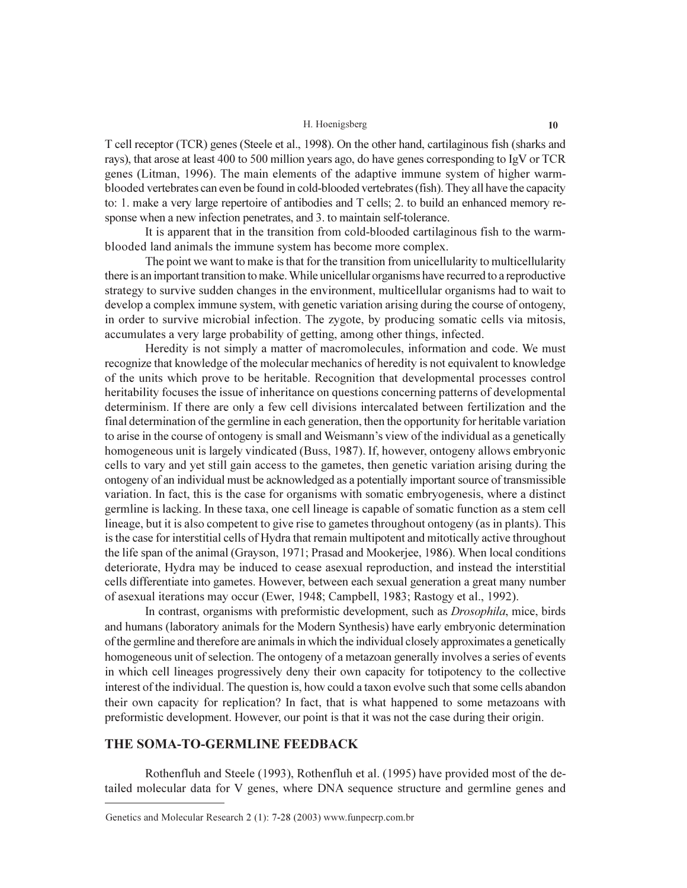T cell receptor (TCR) genes (Steele et al., 1998). On the other hand, cartilaginous fish (sharks and rays), that arose at least 400 to 500 million years ago, do have genes corresponding to IgV or TCR genes (Litman, 1996). The main elements of the adaptive immune system of higher warmblooded vertebrates can even be found in cold-blooded vertebrates (fish). They all have the capacity to: 1. make a very large repertoire of antibodies and T cells; 2. to build an enhanced memory response when a new infection penetrates, and 3, to maintain self-tolerance.

It is apparent that in the transition from cold-blooded cartilaginous fish to the warmblooded land animals the immune system has become more complex.

The point we want to make is that for the transition from unicellularity to multicellularity there is an important transition to make. While unicellular organisms have recurred to a reproductive strategy to survive sudden changes in the environment, multicellular organisms had to wait to develop a complex immune system, with genetic variation arising during the course of ontogeny, in order to survive microbial infection. The zygote, by producing somatic cells via mitosis, accumulates a very large probability of getting, among other things, infected.

Heredity is not simply a matter of macromolecules, information and code. We must recognize that knowledge of the molecular mechanics of heredity is not equivalent to knowledge of the units which prove to be heritable. Recognition that developmental processes control heritability focuses the issue of inheritance on questions concerning patterns of developmental determinism. If there are only a few cell divisions intercalated between fertilization and the final determination of the germline in each generation, then the opportunity for heritable variation to arise in the course of ontogeny is small and Weismann's view of the individual as a genetically homogeneous unit is largely vindicated (Buss, 1987). If, however, ontogeny allows embryonic cells to vary and yet still gain access to the gametes, then genetic variation arising during the ontogeny of an individual must be acknowledged as a potentially important source of transmissible variation. In fact, this is the case for organisms with somatic embryogenesis, where a distinct germline is lacking. In these taxa, one cell lineage is capable of somatic function as a stem cell lineage, but it is also competent to give rise to gametes throughout ontogeny (as in plants). This is the case for interstitial cells of Hydra that remain multipotent and mitotically active throughout the life span of the animal (Grayson, 1971; Prasad and Mookerjee, 1986). When local conditions deteriorate, Hydra may be induced to cease asexual reproduction, and instead the interstitial cells differentiate into gametes. However, between each sexual generation a great many number of asexual iterations may occur (Ewer, 1948; Campbell, 1983; Rastogy et al., 1992).

In contrast, organisms with preformistic development, such as *Drosophila*, mice, birds and humans (laboratory animals for the Modern Synthesis) have early embryonic determination of the germline and therefore are animals in which the individual closely approximates a genetically homogeneous unit of selection. The ontogeny of a metazoan generally involves a series of events in which cell lineages progressively deny their own capacity for totipotency to the collective interest of the individual. The question is, how could a taxon evolve such that some cells abandon their own capacity for replication? In fact, that is what happened to some metazoans with preformistic development. However, our point is that it was not the case during their origin.

### THE SOMA-TO-GERMLINE FEEDBACK

Rothenfluh and Steele (1993), Rothenfluh et al. (1995) have provided most of the detailed molecular data for V genes, where DNA sequence structure and germline genes and

Genetics and Molecular Research 2 (1): 7-28 (2003) www.funpecrp.com.br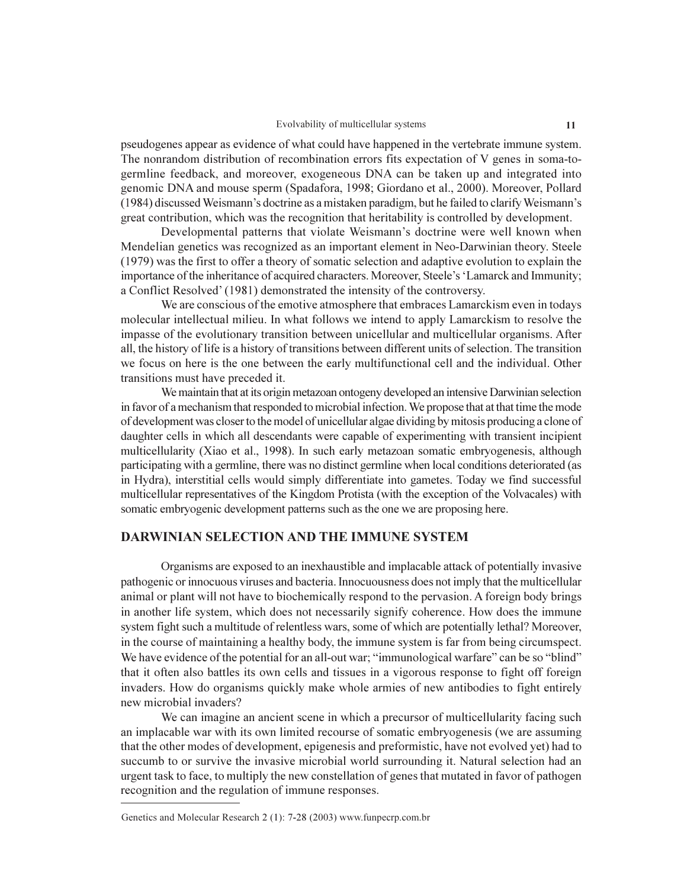pseudogenes appear as evidence of what could have happened in the vertebrate immune system. The nonrandom distribution of recombination errors fits expectation of V genes in soma-togermline feedback, and moreover, exogeneous DNA can be taken up and integrated into genomic DNA and mouse sperm (Spadafora, 1998; Giordano et al., 2000). Moreover, Pollard (1984) discussed Weismann's doctrine as a mistaken paradigm, but he failed to clarify Weismann's great contribution, which was the recognition that heritability is controlled by development.

Developmental patterns that violate Weismann's doctrine were well known when Mendelian genetics was recognized as an important element in Neo-Darwinian theory. Steele (1979) was the first to offer a theory of somatic selection and adaptive evolution to explain the importance of the inheritance of acquired characters. Moreover, Steele's 'Lamarck and Immunity; a Conflict Resolved' (1981) demonstrated the intensity of the controversy.

We are conscious of the emotive atmosphere that embraces Lamarckism even in todays molecular intellectual milieu. In what follows we intend to apply Lamarckism to resolve the impasse of the evolutionary transition between unicellular and multicellular organisms. After all, the history of life is a history of transitions between different units of selection. The transition we focus on here is the one between the early multifunctional cell and the individual. Other transitions must have preceded it.

We maintain that at its origin metazoan ontogeny developed an intensive Darwinian selection in favor of a mechanism that responded to microbial infection. We propose that at that time the mode of development was closer to the model of unicellular algae dividing by mitosis producing a clone of daughter cells in which all descendants were capable of experimenting with transient incipient multicellularity (Xiao et al., 1998). In such early metazoan somatic embryogenesis, although participating with a germline, there was no distinct germline when local conditions deteriorated (as in Hydra), interstitial cells would simply differentiate into gametes. Today we find successful multicellular representatives of the Kingdom Protista (with the exception of the Volvacales) with somatic embryogenic development patterns such as the one we are proposing here.

# **DARWINIAN SELECTION AND THE IMMUNE SYSTEM**

Organisms are exposed to an inexhaustible and implacable attack of potentially invasive pathogenic or innocuous viruses and bacteria. Innocuousness does not imply that the multicellular animal or plant will not have to biochemically respond to the pervasion. A foreign body brings in another life system, which does not necessarily signify coherence. How does the immune system fight such a multitude of relentless wars, some of which are potentially lethal? Moreover, in the course of maintaining a healthy body, the immune system is far from being circumspect. We have evidence of the potential for an all-out war: "immunological warfare" can be so "blind" that it often also battles its own cells and tissues in a vigorous response to fight off foreign invaders. How do organisms quickly make whole armies of new antibodies to fight entirely new microbial invaders?

We can imagine an ancient scene in which a precursor of multicellularity facing such an implacable war with its own limited recourse of somatic embryogenesis (we are assuming that the other modes of development, epigenesis and preformistic, have not evolved yet) had to succumb to or survive the invasive microbial world surrounding it. Natural selection had an urgent task to face, to multiply the new constellation of genes that mutated in favor of pathogen recognition and the regulation of immune responses.

Genetics and Molecular Research 2 (1): 7-28 (2003) www.funpecrp.com.br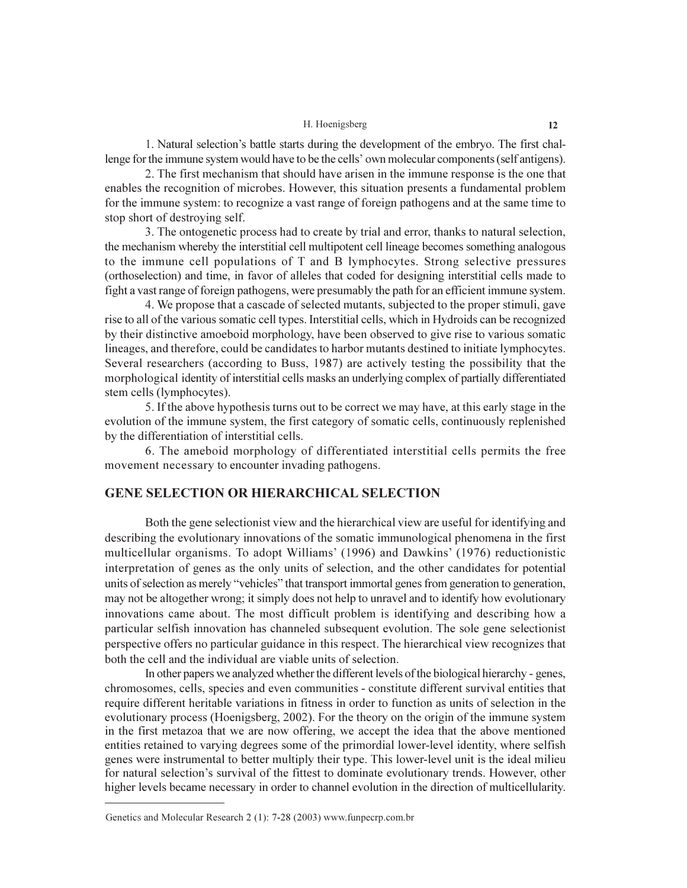1. Natural selection's battle starts during the development of the embryo. The first challenge for the immune system would have to be the cells' own molecular components (self antigens).

2. The first mechanism that should have arisen in the immune response is the one that enables the recognition of microbes. However, this situation presents a fundamental problem for the immune system: to recognize a vast range of foreign pathogens and at the same time to stop short of destroying self.

3. The ontogenetic process had to create by trial and error, thanks to natural selection, the mechanism whereby the interstitial cell multipotent cell lineage becomes something analogous to the immune cell populations of T and B lymphocytes. Strong selective pressures (orthoselection) and time, in favor of alleles that coded for designing interstitial cells made to fight a vast range of foreign pathogens, were presumably the path for an efficient immune system.

4. We propose that a cascade of selected mutants, subjected to the proper stimuli, gave rise to all of the various somatic cell types. Interstitial cells, which in Hydroids can be recognized by their distinctive amoeboid morphology, have been observed to give rise to various somatic lineages, and therefore, could be candidates to harbor mutants destined to initiate lymphocytes. Several researchers (according to Buss, 1987) are actively testing the possibility that the morphological identity of interstitial cells masks an underlying complex of partially differentiated stem cells (lymphocytes).

5. If the above hypothesis turns out to be correct we may have, at this early stage in the evolution of the immune system, the first category of somatic cells, continuously replenished by the differentiation of interstitial cells.

6. The ameboid morphology of differentiated interstitial cells permits the free movement necessary to encounter invading pathogens.

# **GENE SELECTION OR HIERARCHICAL SELECTION**

Both the gene selection is tiew and the hierarchical view are useful for identifying and describing the evolutionary innovations of the somatic immunological phenomena in the first multicellular organisms. To adopt Williams' (1996) and Dawkins' (1976) reductionistic interpretation of genes as the only units of selection, and the other candidates for potential units of selection as merely "vehicles" that transport immortal genes from generation to generation, may not be altogether wrong; it simply does not help to unravel and to identify how evolutionary innovations came about. The most difficult problem is identifying and describing how a particular selfish innovation has channeled subsequent evolution. The sole gene selectionist perspective offers no particular guidance in this respect. The hierarchical view recognizes that both the cell and the individual are viable units of selection.

In other papers we analyzed whether the different levels of the biological hierarchy - genes, chromosomes, cells, species and even communities - constitute different survival entities that require different heritable variations in fitness in order to function as units of selection in the evolutionary process (Hoenigsberg, 2002). For the theory on the origin of the immune system in the first metazoa that we are now offering, we accept the idea that the above mentioned entities retained to varying degrees some of the primordial lower-level identity, where selfish genes were instrumental to better multiply their type. This lower-level unit is the ideal milieu for natural selection's survival of the fittest to dominate evolutionary trends. However, other higher levels became necessary in order to channel evolution in the direction of multicellularity.

Genetics and Molecular Research 2 (1): 7-28 (2003) www.funpecrp.com.br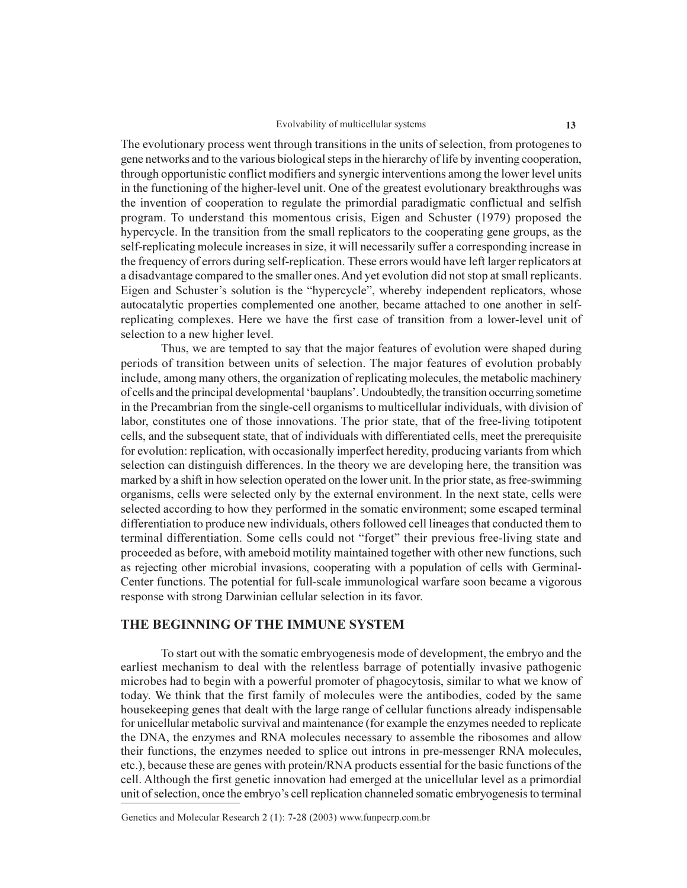#### Evolvability of multicellular systems

The evolutionary process went through transitions in the units of selection, from protogenes to gene networks and to the various biological steps in the hierarchy of life by inventing cooperation, through opportunistic conflict modifiers and synergic interventions among the lower level units in the functioning of the higher-level unit. One of the greatest evolutionary breakthroughs was the invention of cooperation to regulate the primordial paradigmatic conflictual and selfish program. To understand this momentous crisis, Eigen and Schuster (1979) proposed the hypercycle. In the transition from the small replicators to the cooperating gene groups, as the self-replicating molecule increases in size, it will necessarily suffer a corresponding increase in the frequency of errors during self-replication. These errors would have left larger replicators at a disadvantage compared to the smaller ones. And yet evolution did not stop at small replicants. Eigen and Schuster's solution is the "hypercycle", whereby independent replicators, whose autocatalytic properties complemented one another, became attached to one another in selfreplicating complexes. Here we have the first case of transition from a lower-level unit of selection to a new higher level.

Thus, we are tempted to say that the major features of evolution were shaped during periods of transition between units of selection. The major features of evolution probably include, among many others, the organization of replicating molecules, the metabolic machinery of cells and the principal developmental 'bauplans'. Undoubtedly, the transition occurring sometime in the Precambrian from the single-cell organisms to multicellular individuals, with division of labor, constitutes one of those innovations. The prior state, that of the free-living totipotent cells, and the subsequent state, that of individuals with differentiated cells, meet the prerequisite for evolution: replication, with occasionally imperfect heredity, producing variants from which selection can distinguish differences. In the theory we are developing here, the transition was marked by a shift in how selection operated on the lower unit. In the prior state, as free-swimming organisms, cells were selected only by the external environment. In the next state, cells were selected according to how they performed in the somatic environment; some escaped terminal differentiation to produce new individuals, others followed cell lineages that conducted them to terminal differentiation. Some cells could not "forget" their previous free-living state and proceeded as before, with ameboid motility maintained together with other new functions, such as rejecting other microbial invasions, cooperating with a population of cells with Germinal-Center functions. The potential for full-scale immunological warfare soon became a vigorous response with strong Darwinian cellular selection in its favor.

### THE BEGINNING OF THE IMMUNE SYSTEM

To start out with the somatic embryogenesis mode of development, the embryo and the earliest mechanism to deal with the relentless barrage of potentially invasive pathogenic microbes had to begin with a powerful promoter of phagocytosis, similar to what we know of today. We think that the first family of molecules were the antibodies, coded by the same housekeeping genes that dealt with the large range of cellular functions already indispensable for unicellular metabolic survival and maintenance (for example the enzymes needed to replicate the DNA, the enzymes and RNA molecules necessary to assemble the ribosomes and allow their functions, the enzymes needed to splice out introns in pre-messenger RNA molecules, etc.), because these are genes with protein/RNA products essential for the basic functions of the cell. Although the first genetic innovation had emerged at the unicellular level as a primordial unit of selection, once the embryo's cell replication channeled somatic embryogenesis to terminal

Genetics and Molecular Research 2 (1): 7-28 (2003) www.funpecrp.com.br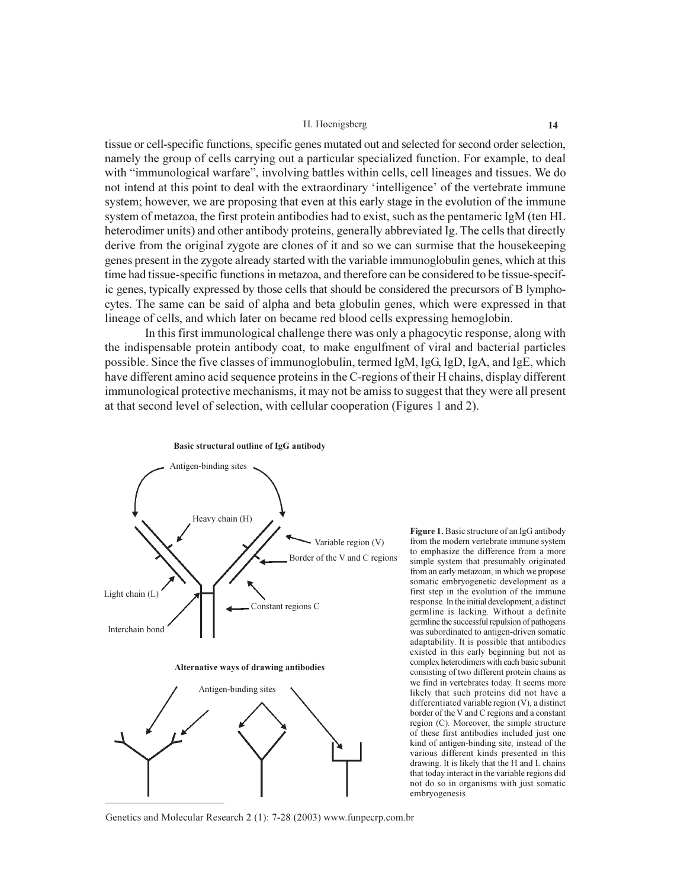tissue or cell-specific functions, specific genes mutated out and selected for second order selection, namely the group of cells carrying out a particular specialized function. For example, to deal with "immunological warfare", involving battles within cells, cell lineages and tissues. We do not intend at this point to deal with the extraordinary 'intelligence' of the vertebrate immune system; however, we are proposing that even at this early stage in the evolution of the immune system of metazoa, the first protein antibodies had to exist, such as the pentameric IgM (ten HL heterodimer units) and other antibody proteins, generally abbreviated Ig. The cells that directly derive from the original zygote are clones of it and so we can surmise that the housekeeping genes present in the zygote already started with the variable immunoglobulin genes, which at this time had tissue-specific functions in metazoa, and therefore can be considered to be tissue-specific genes, typically expressed by those cells that should be considered the precursors of B lymphocytes. The same can be said of alpha and beta globulin genes, which were expressed in that lineage of cells, and which later on became red blood cells expressing hemoglobin.

In this first immunological challenge there was only a phagocytic response, along with the indispensable protein antibody coat, to make engulfment of viral and bacterial particles possible. Since the five classes of immunoglobulin, termed IgM, IgG, IgD, IgA, and IgE, which have different amino acid sequence proteins in the C-regions of their H chains, display different immunological protective mechanisms, it may not be amiss to suggest that they were all present at that second level of selection, with cellular cooperation (Figures 1 and 2).





Figure 1. Basic structure of an IgG antibody from the modern vertebrate immune system to emphasize the difference from a more simple system that presumably originated from an early metazoan, in which we propose somatic embryogenetic development as a first step in the evolution of the immune response. In the initial development, a distinct germline is lacking. Without a definite germline the successful repulsion of pathogens was subordinated to antigen-driven somatic adaptability. It is possible that antibodies existed in this early beginning but not as complex heterodimers with each basic subunit consisting of two different protein chains as we find in vertebrates today. It seems more likely that such proteins did not have a differentiated variable region (V), a distinct border of the V and C regions and a constant region (C). Moreover, the simple structure of these first antibodies included just one kind of antigen-binding site, instead of the various different kinds presented in this drawing. It is likely that the H and L chains that today interact in the variable regions did not do so in organisms with just somatic embryogenesis.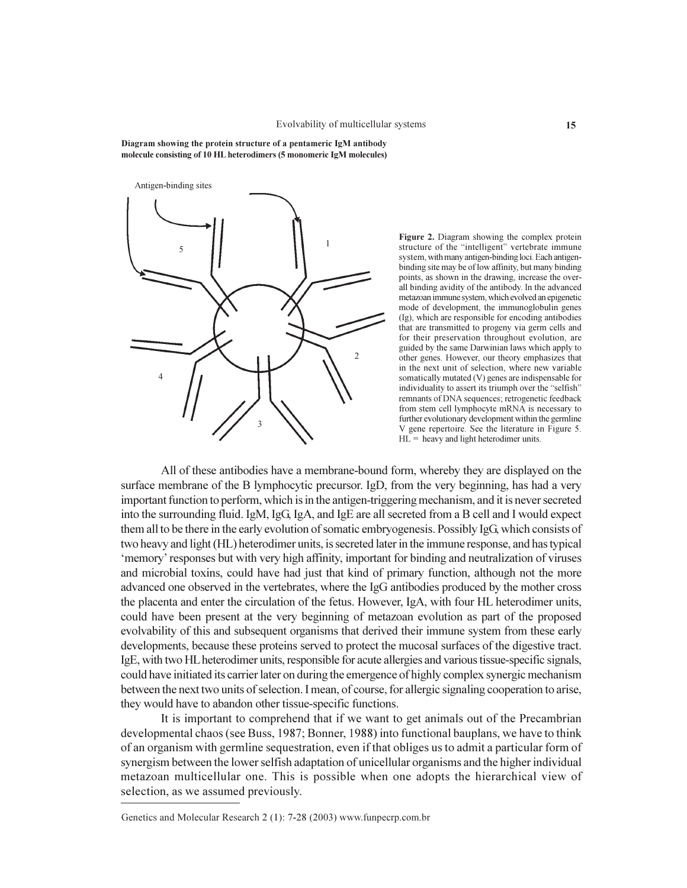Diagram showing the protein structure of a pentameric IgM antibody molecule consisting of 10 HL heterodimers (5 monomeric IgM molecules)



Figure 2. Diagram showing the complex protein structure of the "intelligent" vertebrate immune system, with many antigen-binding loci. Each antigenbinding site may be of low affinity, but many binding points, as shown in the drawing, increase the overall binding avidity of the antibody. In the advanced metazoan immune system, which evolved an epigenetic mode of development, the immunoglobulin genes (Ig), which are responsible for encoding antibodies that are transmitted to progeny via germ cells and for their preservation throughout evolution, are guided by the same Darwinian laws which apply to other genes. However, our theory emphasizes that in the next unit of selection, where new variable somatically mutated (V) genes are indispensable for individuality to assert its triumph over the "selfish" remnants of DNA sequences; retrogenetic feedback from stem cell lymphocyte mRNA is necessary to further evolutionary development within the germline V gene repertoire. See the literature in Figure 5.  $HL$  = heavy and light heterodimer units.

All of these antibodies have a membrane-bound form, whereby they are displayed on the surface membrane of the B lymphocytic precursor. IgD, from the very beginning, has had a very important function to perform, which is in the antigen-triggering mechanism, and it is never secreted into the surrounding fluid. IgM, IgG, IgA, and IgE are all secreted from a B cell and I would expect them all to be there in the early evolution of somatic embryogenesis. Possibly IgG which consists of two heavy and light (HL) heterodimer units, is secreted later in the immune response, and has typical 'memory' responses but with very high affinity, important for binding and neutralization of viruses and microbial toxins, could have had just that kind of primary function, although not the more advanced one observed in the vertebrates, where the IgG antibodies produced by the mother cross the placenta and enter the circulation of the fetus. However, IgA, with four HL heterodimer units, could have been present at the very beginning of metazoan evolution as part of the proposed evolvability of this and subsequent organisms that derived their immune system from these early developments, because these proteins served to protect the mucosal surfaces of the digestive tract. IgE, with two HL heterodimer units, responsible for acute allergies and various tissue-specific signals, could have initiated its carrier later on during the emergence of highly complex synergic mechanism between the next two units of selection. I mean, of course, for allergic signaling cooperation to arise, they would have to abandon other tissue-specific functions.

It is important to comprehend that if we want to get animals out of the Precambrian developmental chaos (see Buss, 1987; Bonner, 1988) into functional bauplans, we have to think of an organism with germline sequestration, even if that obliges us to admit a particular form of synergism between the lower selfish adaptation of unicellular organisms and the higher individual metazoan multicellular one. This is possible when one adopts the hierarchical view of selection, as we assumed previously.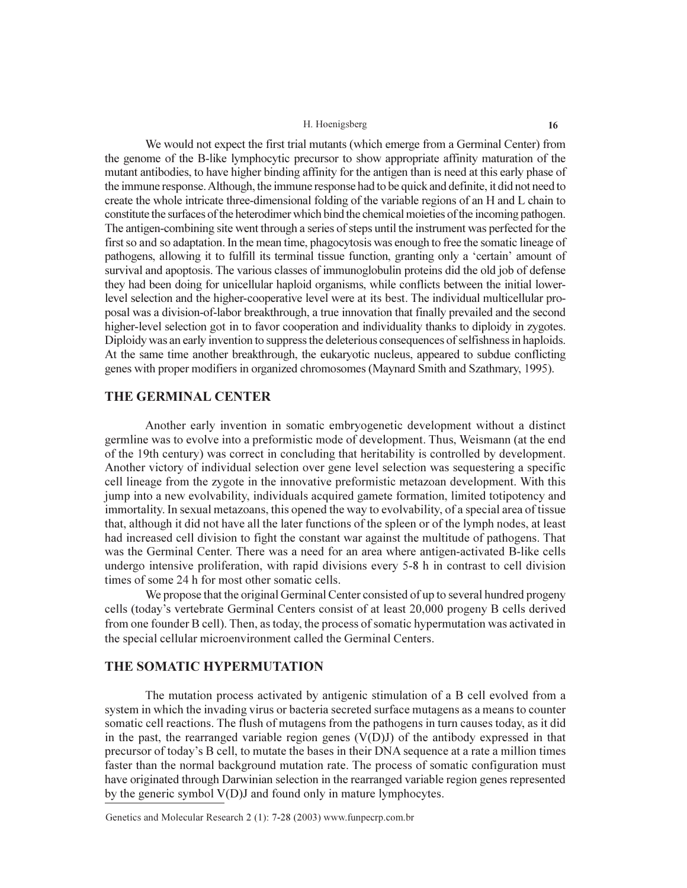We would not expect the first trial mutants (which emerge from a Germinal Center) from the genome of the B-like lymphocytic precursor to show appropriate affinity maturation of the mutant antibodies, to have higher binding affinity for the antigen than is need at this early phase of the immune response. Although, the immune response had to be quick and definite, it did not need to create the whole intricate three-dimensional folding of the variable regions of an H and L chain to constitute the surfaces of the heterodimer which bind the chemical moieties of the incoming pathogen. The antigen-combining site went through a series of steps until the instrument was perfected for the first so and so adaptation. In the mean time, phagocytosis was enough to free the somatic lineage of pathogens, allowing it to fulfill its terminal tissue function, granting only a 'certain' amount of survival and apoptosis. The various classes of immunoglobulin proteins did the old job of defense they had been doing for unicellular haploid organisms, while conflicts between the initial lowerlevel selection and the higher-cooperative level were at its best. The individual multicellular proposal was a division-of-labor breakthrough, a true innovation that finally prevailed and the second higher-level selection got in to favor cooperation and individuality thanks to diploidy in zygotes. Diploidy was an early invention to suppress the deleterious consequences of selfishness in haploids. At the same time another breakthrough, the eukaryotic nucleus, appeared to subdue conflicting genes with proper modifiers in organized chromosomes (Maynard Smith and Szathmary, 1995).

### **THE GERMINAL CENTER**

Another early invention in somatic embryogenetic development without a distinct germline was to evolve into a preformistic mode of development. Thus, Weismann (at the end of the 19th century) was correct in concluding that heritability is controlled by development. Another victory of individual selection over gene level selection was sequestering a specific cell lineage from the zygote in the innovative preformistic metazoan development. With this jump into a new evolvability, individuals acquired gamete formation, limited totipotency and immortality. In sexual metazoans, this opened the way to evolvability, of a special area of tissue that, although it did not have all the later functions of the spleen or of the lymph nodes, at least had increased cell division to fight the constant war against the multitude of pathogens. That was the Germinal Center. There was a need for an area where antigen-activated B-like cells undergo intensive proliferation, with rapid divisions every 5-8 h in contrast to cell division times of some 24 h for most other somatic cells.

We propose that the original Germinal Center consisted of up to several hundred progeny cells (today's vertebrate Germinal Centers consist of at least 20,000 progeny B cells derived from one founder B cell). Then, as today, the process of somatic hypermutation was activated in the special cellular microenvironment called the Germinal Centers.

### THE SOMATIC HYPERMUTATION

The mutation process activated by antigenic stimulation of a B cell evolved from a system in which the invading virus or bacteria secreted surface mutagens as a means to counter somatic cell reactions. The flush of mutagens from the pathogens in turn causes today, as it did in the past, the rearranged variable region genes  $(V(D)J)$  of the antibody expressed in that precursor of today's B cell, to mutate the bases in their DNA sequence at a rate a million times faster than the normal background mutation rate. The process of somatic configuration must have originated through Darwinian selection in the rearranged variable region genes represented by the generic symbol V(D)J and found only in mature lymphocytes.

Genetics and Molecular Research 2 (1): 7-28 (2003) www.funpecrp.com.br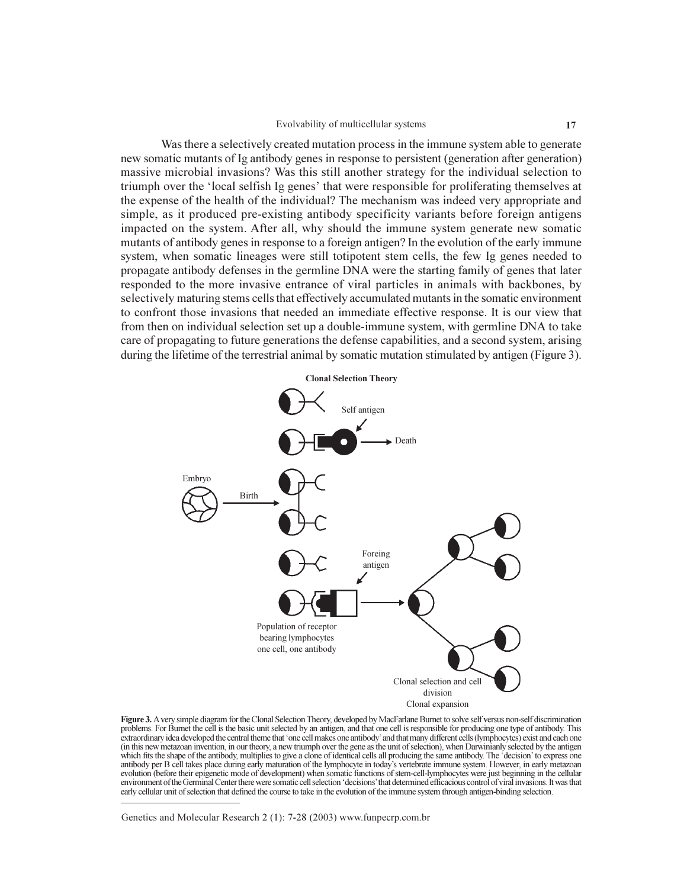#### Evolvability of multicellular systems

Was there a selectively created mutation process in the immune system able to generate new somatic mutants of Ig antibody genes in response to persistent (generation after generation) massive microbial invasions? Was this still another strategy for the individual selection to triumph over the 'local selfish Ig genes' that were responsible for proliferating themselves at the expense of the health of the individual? The mechanism was indeed very appropriate and simple, as it produced pre-existing antibody specificity variants before foreign antigens impacted on the system. After all, why should the immune system generate new somatic mutants of antibody genes in response to a foreign antigen? In the evolution of the early immune system, when somatic lineages were still totipotent stem cells, the few Ig genes needed to propagate antibody defenses in the germline DNA were the starting family of genes that later responded to the more invasive entrance of viral particles in animals with backbones, by selectively maturing stems cells that effectively accumulated mutants in the somatic environment to confront those invasions that needed an immediate effective response. It is our view that from then on individual selection set up a double-immune system, with germline DNA to take care of propagating to future generations the defense capabilities, and a second system, arising during the lifetime of the terrestrial animal by somatic mutation stimulated by antigen (Figure 3).



Figure 3. A very simple diagram for the Clonal Selection Theory, developed by MacFarlane Burnet to solve self versus non-self discrimination problems. For Burnet the cell is the basic unit selected by an antigen, and that one cell is responsible for producing one type of antibody. This extraordinary idea developed the central theme that 'one cell makes one antibody' and that many different cells (lymphocytes) exist and each one (in this new metazoan invention, in our theory, a new triumph over the gene as the unit of selection), when Darwinianly selected by the antigen which fits the shape of the antibody, multiplies to give a clone of identical cells all producing the same antibody. The 'decision' to express one Anticha as usually of the dimension of the lymphocyte in today's vertebrate immune system. However, in early metazoan<br>evolution (before their epigenetic mode of development) when somatic functions of stem-cell-lymphocytes environment of the Germinal Center there were somatic cell selection 'decisions' that determined efficacious control of viral invasions. It was that early cellular unit of selection that defined the course to take in the evolution of the immune system through antigen-binding selection.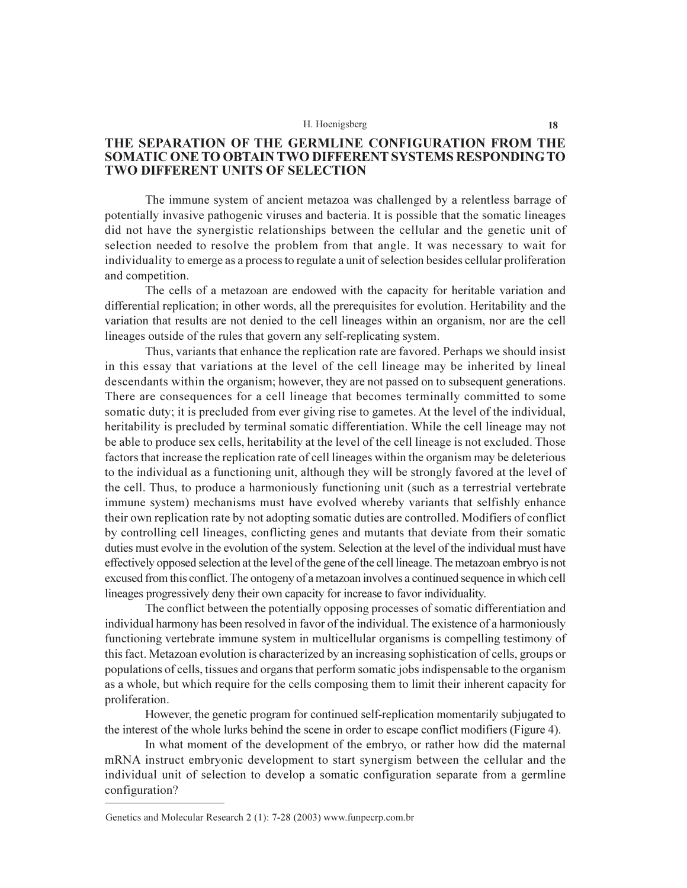### THE SEPARATION OF THE GERMLINE CONFIGURATION FROM THE SOMATIC ONE TO OBTAIN TWO DIFFERENT SYSTEMS RESPONDING TO **TWO DIFFERENT UNITS OF SELECTION**

The immune system of ancient metazoa was challenged by a relentless barrage of potentially invasive pathogenic viruses and bacteria. It is possible that the somatic lineages did not have the synergistic relationships between the cellular and the genetic unit of selection needed to resolve the problem from that angle. It was necessary to wait for individuality to emerge as a process to regulate a unit of selection besides cellular proliferation and competition.

The cells of a metazoan are endowed with the capacity for heritable variation and differential replication; in other words, all the prerequisites for evolution. Heritability and the variation that results are not denied to the cell lineages within an organism, nor are the cell lineages outside of the rules that govern any self-replicating system.

Thus, variants that enhance the replication rate are favored. Perhaps we should insist in this essay that variations at the level of the cell lineage may be inherited by lineal descendants within the organism; however, they are not passed on to subsequent generations. There are consequences for a cell lineage that becomes terminally committed to some somatic duty; it is precluded from ever giving rise to gametes. At the level of the individual, heritability is precluded by terminal somatic differentiation. While the cell lineage may not be able to produce sex cells, heritability at the level of the cell lineage is not excluded. Those factors that increase the replication rate of cell lineages within the organism may be deleterious to the individual as a functioning unit, although they will be strongly favored at the level of the cell. Thus, to produce a harmoniously functioning unit (such as a terrestrial vertebrate immune system) mechanisms must have evolved whereby variants that selfishly enhance their own replication rate by not adopting somatic duties are controlled. Modifiers of conflict by controlling cell lineages, conflicting genes and mutants that deviate from their somatic duties must evolve in the evolution of the system. Selection at the level of the individual must have effectively opposed selection at the level of the gene of the cell lineage. The metazoan embryo is not excused from this conflict. The ontogeny of a metazoan involves a continued sequence in which cell lineages progressively deny their own capacity for increase to favor individuality.

The conflict between the potentially opposing processes of somatic differentiation and individual harmony has been resolved in favor of the individual. The existence of a harmoniously functioning vertebrate immune system in multicellular organisms is compelling testimony of this fact. Metazoan evolution is characterized by an increasing sophistication of cells, groups or populations of cells, tissues and organs that perform somatic jobs indispensable to the organism as a whole, but which require for the cells composing them to limit their inherent capacity for proliferation.

However, the genetic program for continued self-replication momentarily subjugated to the interest of the whole lurks behind the scene in order to escape conflict modifiers (Figure 4).

In what moment of the development of the embryo, or rather how did the maternal mRNA instruct embryonic development to start synergism between the cellular and the individual unit of selection to develop a somatic configuration separate from a germline configuration?

Genetics and Molecular Research 2 (1): 7-28 (2003) www.funpecrp.com.br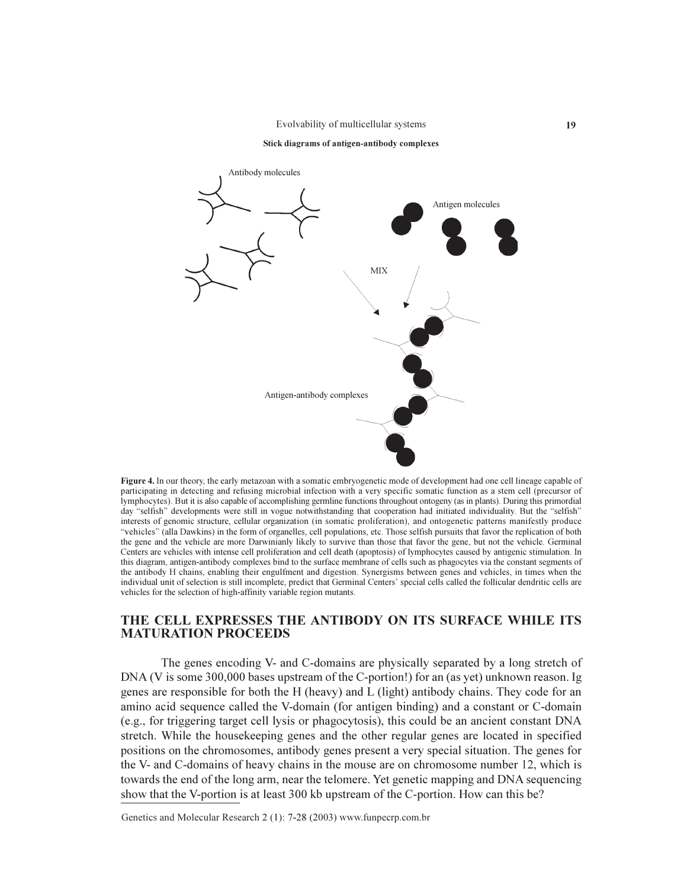Evolvability of multicellular systems





Figure 4. In our theory, the early metazoan with a somatic embryogenetic mode of development had one cell lineage capable of participating in detecting and refusing microbial infection with a very specific somatic function as a stem cell (precursor of lymphocytes). But it is also capable of accomplishing germline functions throughout ontogeny (as in plants). During this primordial day "selfish" developments were still in vogue notwithstanding that cooperation had initiated individuality. But the "selfish" interests of genomic structure, cellular organization (in somatic proliferation), and ontogenetic patterns manifestly produce "vehicles" (alla Dawkins) in the form of organelles, cell populations, etc. Those selfish pursuits that favor the replication of both the gene and the vehicle are more Darwinianly likely to survive than those that favor the gene, but not the vehicle. Germinal Centers are vehicles with intense cell proliferation and cell death (apoptosis) of lymphocytes caused by antigenic stimulation. In this diagram, antigen-antibody complexes bind to the surface membrane of cells such as phagocytes via the constant segments of the antibody H chains, enabling their engulfment and digestion. Synergisms between genes and vehicles, in times when the individual unit of selection is still incomplete, predict that Germinal Centers' special cells called the follicular dendritic cells are vehicles for the selection of high-affinity variable region mutants.

# THE CELL EXPRESSES THE ANTIBODY ON ITS SURFACE WHILE ITS **MATURATION PROCEEDS**

The genes encoding V- and C-domains are physically separated by a long stretch of DNA (V is some 300,000 bases upstream of the C-portion!) for an (as yet) unknown reason. Ig genes are responsible for both the H (heavy) and L (light) antibody chains. They code for an amino acid sequence called the V-domain (for antigen binding) and a constant or C-domain (e.g., for triggering target cell lysis or phagocytosis), this could be an ancient constant DNA stretch. While the house keeping genes and the other regular genes are located in specified positions on the chromosomes, antibody genes present a very special situation. The genes for the V- and C-domains of heavy chains in the mouse are on chromosome number 12, which is towards the end of the long arm, near the telomere. Yet genetic mapping and DNA sequencing show that the V-portion is at least 300 kb upstream of the C-portion. How can this be?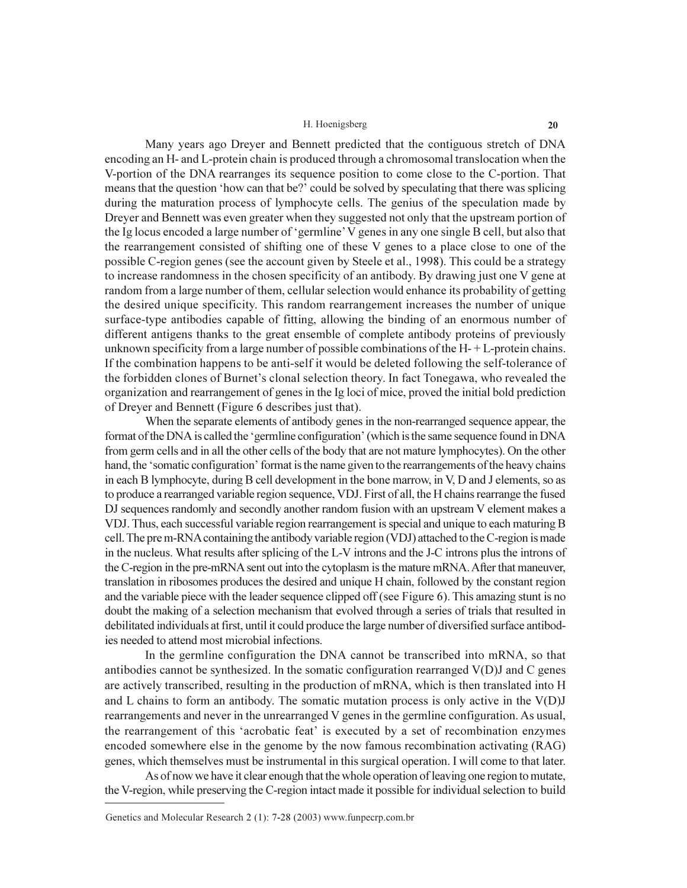Many years ago Dreyer and Bennett predicted that the contiguous stretch of DNA encoding an H- and L-protein chain is produced through a chromosomal translocation when the V-portion of the DNA rearranges its sequence position to come close to the C-portion. That means that the question 'how can that be?' could be solved by speculating that there was splicing during the maturation process of lymphocyte cells. The genius of the speculation made by Dreyer and Bennett was even greater when they suggested not only that the upstream portion of the Ig locus encoded a large number of 'germline' V genes in any one single B cell, but also that the rearrangement consisted of shifting one of these V genes to a place close to one of the possible C-region genes (see the account given by Steele et al., 1998). This could be a strategy to increase randomness in the chosen specificity of an antibody. By drawing just one V gene at random from a large number of them, cellular selection would enhance its probability of getting the desired unique specificity. This random rearrangement increases the number of unique surface-type antibodies capable of fitting, allowing the binding of an enormous number of different antigens thanks to the great ensemble of complete antibody proteins of previously unknown specificity from a large number of possible combinations of the  $H - + L$ -protein chains. If the combination happens to be anti-self it would be deleted following the self-tolerance of the forbidden clones of Burnet's clonal selection theory. In fact Tonegawa, who revealed the organization and rearrangement of genes in the Ig loci of mice, proved the initial bold prediction of Dreyer and Bennett (Figure 6 describes just that).

When the separate elements of antibody genes in the non-rearranged sequence appear, the format of the DNA is called the 'germline configuration' (which is the same sequence found in DNA from germ cells and in all the other cells of the body that are not mature lymphocytes). On the other hand, the 'somatic configuration' format is the name given to the rearrangements of the heavy chains in each B lymphocyte, during B cell development in the bone marrow, in V, D and J elements, so as to produce a rearranged variable region sequence, VDJ. First of all, the H chains rearrange the fused DJ sequences randomly and secondly another random fusion with an upstream V element makes a VDJ. Thus, each successful variable region rearrangement is special and unique to each maturing B cell. The pre m-RNA containing the antibody variable region (VDJ) attached to the C-region is made in the nucleus. What results after splicing of the L-V introns and the J-C introns plus the introns of the C-region in the pre-mRNA sent out into the cytoplasm is the mature mRNA. After that maneuver, translation in ribosomes produces the desired and unique H chain, followed by the constant region and the variable piece with the leader sequence clipped off (see Figure 6). This amazing stunt is no doubt the making of a selection mechanism that evolved through a series of trials that resulted in debilitated individuals at first, until it could produce the large number of diversified surface antibodies needed to attend most microbial infections.

In the germline configuration the DNA cannot be transcribed into mRNA, so that antibodies cannot be synthesized. In the somatic configuration rearranged V(D)J and C genes are actively transcribed, resulting in the production of mRNA, which is then translated into H and L chains to form an antibody. The somatic mutation process is only active in the  $V(D)J$ rearrangements and never in the unrearranged V genes in the germline configuration. As usual, the rearrangement of this 'acrobatic feat' is executed by a set of recombination enzymes encoded somewhere else in the genome by the now famous recombination activating (RAG) genes, which themselves must be instrumental in this surgical operation. I will come to that later.

As of now we have it clear enough that the whole operation of leaving one region to mutate, the V-region, while preserving the C-region intact made it possible for individual selection to build

Genetics and Molecular Research 2 (1): 7-28 (2003) www.funpecrp.com.br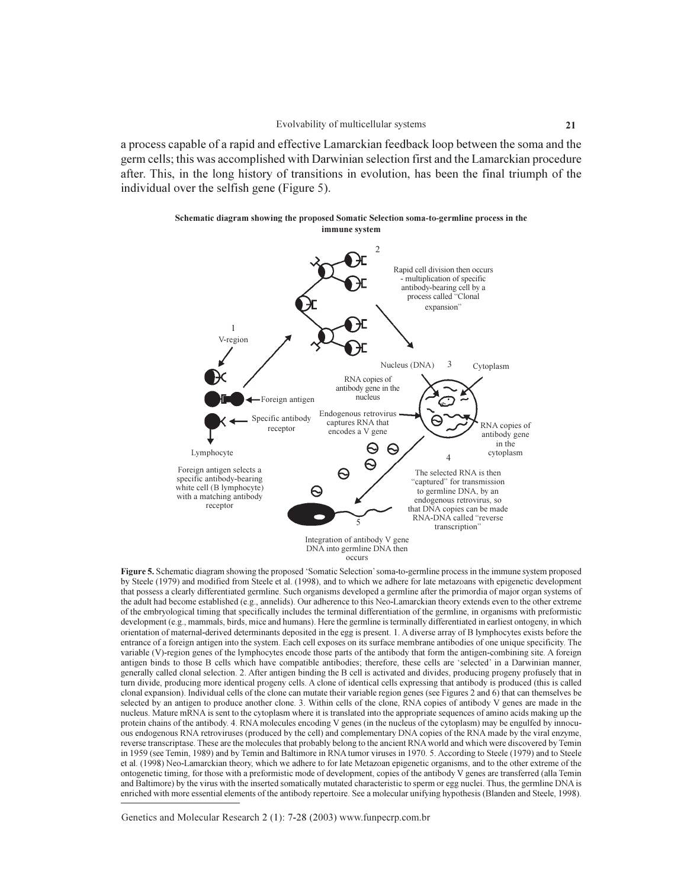a process capable of a rapid and effective Lamarckian feedback loop between the soma and the germ cells; this was accomplished with Darwinian selection first and the Lamarckian procedure after. This, in the long history of transitions in evolution, has been the final triumph of the individual over the selfish gene (Figure 5).



Figure 5. Schematic diagram showing the proposed 'Somatic Selection' soma-to-germline process in the immune system proposed by Steele (1979) and modified from Steele et al. (1998), and to which we adhere for late metazoans with epigenetic development that possess a clearly differentiated germline. Such organisms developed a germline after the primordia of major organ systems of the adult had become established (e.g., annelids). Our adherence to this Neo-Lamarckian theory extends even to the other extreme of the embryological timing that specifically includes the terminal differentiation of the germline, in organisms with preformistic development (e.g., mammals, birds, mice and humans). Here the germline is terminally differentiated in earliest ontogeny, in which orientation of maternal-derived determinants deposited in the egg is present. 1. A diverse array of B lymphocytes exists before the entrance of a foreign antigen into the system. Each cell exposes on its surface membrane antibodies of one unique specificity. The variable (V)-region genes of the lymphocytes encode those parts of the antibody that form the antigen-combining site. A foreign antigen binds to those B cells which have compatible antibodies; therefore, these cells are 'selected' in a Darwinian manner, generally called clonal selection. 2. After antigen binding the B cell is activated and divides, producing progeny profusely that in turn divide, producing more identical progeny cells. A clone of identical cells expressing that antibody is produced (this is called clonal expansion). Individual cells of the clone can mutate their variable region genes (see Figures 2 and 6) that can themselves be selected by an antigen to produce another clone. 3. Within cells of the clone, RNA copies of antibody V genes are made in the nucleus. Mature mRNA is sent to the cytoplasm where it is translated into the appropriate sequences of amino acids making up the protein chains of the antibody. 4. RNA molecules encoding V genes (in the nucleus of the cytoplasm) may be engulfed by innocuous endogenous RNA retroviruses (produced by the cell) and complementary DNA copies of the RNA made by the viral enzyme, reverse transcriptase. These are the molecules that probably belong to the ancient RNA world and which were discovered by Temin in 1959 (see Temin, 1989) and by Temin and Baltimore in RNA tumor viruses in 1970. 5. According to Steele (1979) and to Steele et al. (1998) Neo-Lamarckian theory, which we adhere to for late Metazoan epigenetic organisms, and to the other extreme of the ontogenetic timing, for those with a preformistic mode of development, copies of the antibody V genes are transferred (alla Temin and Baltimore) by the virus with the inserted somatically mutated characteristic to sperm or egg nuclei. Thus, the germline DNA is enriched with more essential elements of the antibody repertoire. See a molecular unifying hypothesis (Blanden and Steele, 1998).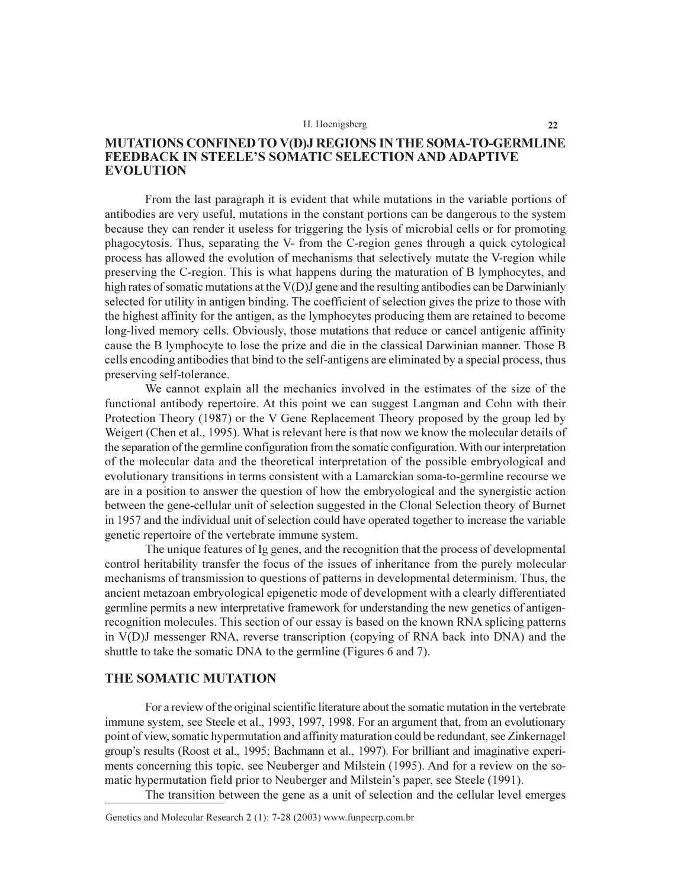### **MUTATIONS CONFINED TO V(D)J REGIONS IN THE SOMA-TO-GERMLINE FEEDBACK IN STEELE'S SOMATIC SELECTION AND ADAPTIVE EVOLUTION**

From the last paragraph it is evident that while mutations in the variable portions of antibodies are very useful, mutations in the constant portions can be dangerous to the system because they can render it useless for triggering the lysis of microbial cells or for promoting phagocytosis. Thus, separating the V- from the C-region genes through a quick cytological process has allowed the evolution of mechanisms that selectively mutate the V-region while preserving the C-region. This is what happens during the maturation of B lymphocytes, and high rates of somatic mutations at the V(D)J gene and the resulting antibodies can be Darwinianly selected for utility in antigen binding. The coefficient of selection gives the prize to those with the highest affinity for the antigen, as the lymphocytes producing them are retained to become long-lived memory cells. Obviously, those mutations that reduce or cancel antigenic affinity cause the B lymphocyte to lose the prize and die in the classical Darwinian manner. Those B cells encoding antibodies that bind to the self-antigens are eliminated by a special process, thus preserving self-tolerance.

We cannot explain all the mechanics involved in the estimates of the size of the functional antibody repertoire. At this point we can suggest Langman and Cohn with their Protection Theory (1987) or the V Gene Replacement Theory proposed by the group led by Weigert (Chen et al., 1995). What is relevant here is that now we know the molecular details of the separation of the germline configuration from the somatic configuration. With our interpretation of the molecular data and the theoretical interpretation of the possible embryological and evolutionary transitions in terms consistent with a Lamarckian soma-to-germline recourse we are in a position to answer the question of how the embryological and the synergistic action between the gene-cellular unit of selection suggested in the Clonal Selection theory of Burnet in 1957 and the individual unit of selection could have operated together to increase the variable genetic repertoire of the vertebrate immune system.

The unique features of Ig genes, and the recognition that the process of developmental control heritability transfer the focus of the issues of inheritance from the purely molecular mechanisms of transmission to questions of patterns in developmental determinism. Thus, the ancient metazoan embryological epigenetic mode of development with a clearly differentiated germline permits a new interpretative framework for understanding the new genetics of antigenrecognition molecules. This section of our essay is based on the known RNA splicing patterns in V(D)J messenger RNA, reverse transcription (copying of RNA back into DNA) and the shuttle to take the somatic DNA to the germline (Figures 6 and 7).

### THE SOMATIC MUTATION

For a review of the original scientific literature about the somatic mutation in the vertebrate immune system, see Steele et al., 1993, 1997, 1998. For an argument that, from an evolutionary point of view, somatic hypermutation and affinity maturation could be redundant, see Zinkernagel group's results (Roost et al., 1995; Bachmann et al., 1997). For brilliant and imaginative experiments concerning this topic, see Neuberger and Milstein (1995). And for a review on the somatic hypermutation field prior to Neuberger and Milstein's paper, see Steele (1991).

The transition between the gene as a unit of selection and the cellular level emerges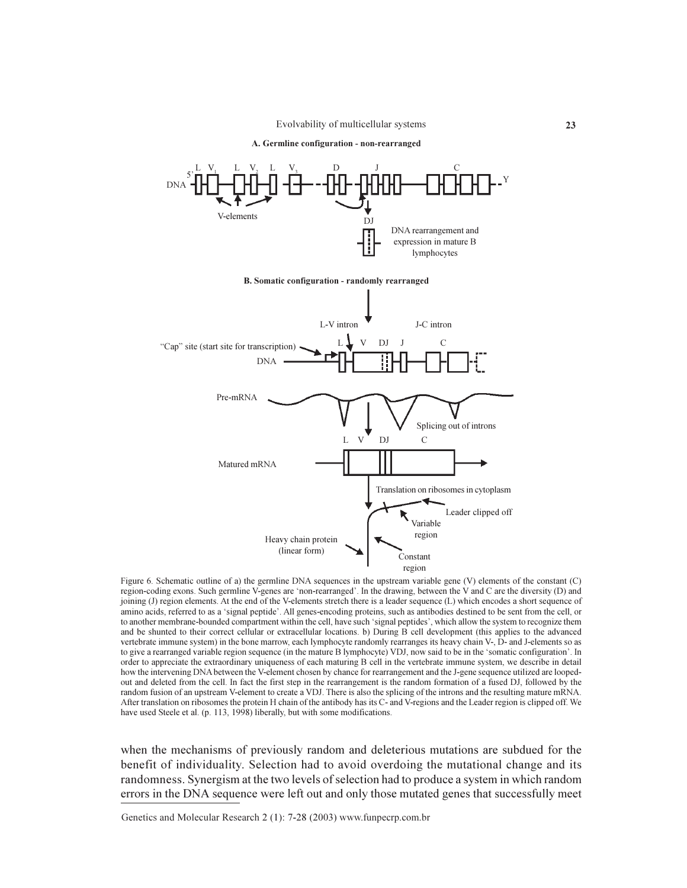Evolvability of multicellular systems

A. Germline configuration - non-rearranged



Figure 6. Schematic outline of a) the germline DNA sequences in the upstream variable gene (V) elements of the constant (C) region-coding exons. Such germline V-genes are 'non-rearranged'. In the drawing, between the V and C are the diversity (D) and joining (J) region elements. At the end of the V-elements stretch there is a leader sequence (L) which encodes a short sequence of amino acids, referred to as a 'signal peptide'. All genes-encoding proteins, such as antibodies destined to be sent from the cell, or to another membrane-bounded compartment within the cell, have such 'signal peptides', which allow the system to recognize them and be shunted to their correct cellular or extracellular locations. b) During B cell development (this applies to the advanced vertebrate immune system) in the bone marrow, each lymphocyte randomly rearranges its heavy chain V-, D- and J-elements so as to give a rearranged variable region sequence (in the mature B lymphocyte) VDJ, now said to be in the 'somatic configuration'. In order to appreciate the extraordinary uniqueness of each maturing B cell in the vertebrate immune system, we describe in detail how the intervening DNA between the V-element chosen by chance for rearrangement and the J-gene sequence utilized are loopedout and deleted from the cell. In fact the first step in the rearrangement is the random formation of a fused DJ, followed by the random fusion of an upstream V-element to create a VDJ. There is also the splicing of the introns and the resulting mature mRNA. After translation on ribosomes the protein H chain of the antibody has its C- and V-regions and the Leader region is clipped off. We have used Steele et al. (p. 113, 1998) liberally, but with some modifications.

when the mechanisms of previously random and deleterious mutations are subdued for the benefit of individuality. Selection had to avoid overdoing the mutational change and its randomness. Synergism at the two levels of selection had to produce a system in which random errors in the DNA sequence were left out and only those mutated genes that successfully meet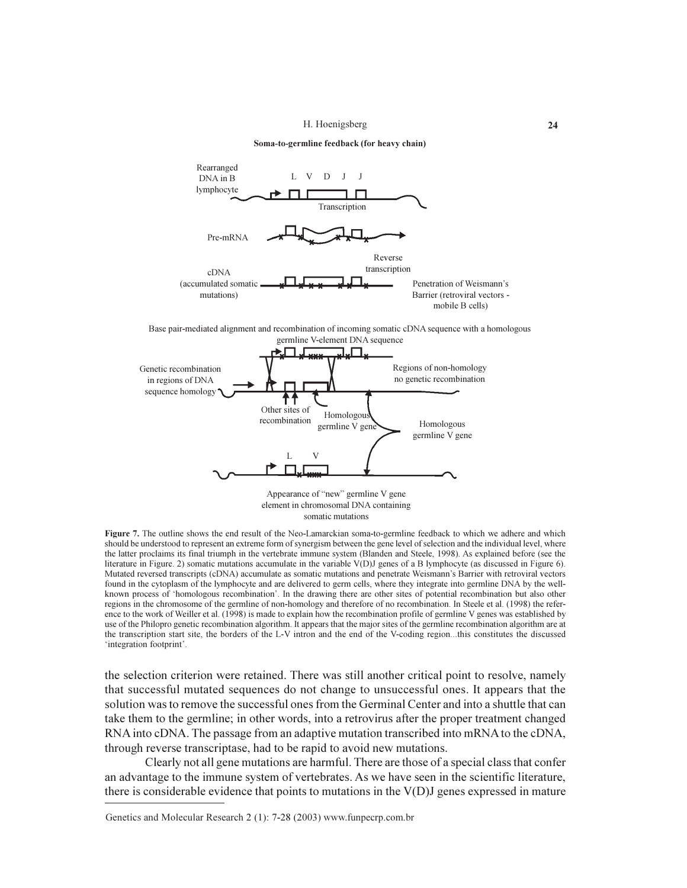

somatic mutations

Figure 7. The outline shows the end result of the Neo-Lamarckian soma-to-germline feedback to which we adhere and which should be understood to represent an extreme form of synergism between the gene level of selection and the individual level, where the latter proclaims its final triumph in the vertebrate immune system (Blanden and Steele, 1998). As explained before (see the literature in Figure. 2) somatic mutations accumulate in the variable V(D)J genes of a B lymphocyte (as discussed in Figure 6). Mutated reversed transcripts (cDNA) accumulate as somatic mutations and penetrate Weismann's Barrier with retroviral vectors found in the cytoplasm of the lymphocyte and are delivered to germ cells, where they integrate into germline DNA by the wellknown process of 'homologous recombination'. In the drawing there are other sites of potential recombination but also other regions in the chromosome of the germline of non-homology and therefore of no recombination. In Steele et al. (1998) the reference to the work of Weiller et al. (1998) is made to explain how the recombination profile of germline V genes was established by use of the Philopro genetic recombination algorithm. It appears that the major sites of the germline recombination algorithm are at the transcription start site, the borders of the L-V intron and the end of the V-coding region...this constitutes the discussed 'integration footprint'.

the selection criterion were retained. There was still another critical point to resolve, namely that successful mutated sequences do not change to unsuccessful ones. It appears that the solution was to remove the successful ones from the Germinal Center and into a shuttle that can take them to the germline; in other words, into a retrovirus after the proper treatment changed RNA into cDNA. The passage from an adaptive mutation transcribed into mRNA to the cDNA, through reverse transcriptase, had to be rapid to avoid new mutations.

Clearly not all gene mutations are harmful. There are those of a special class that confer an advantage to the immune system of vertebrates. As we have seen in the scientific literature, there is considerable evidence that points to mutations in the  $V(D)$  genes expressed in mature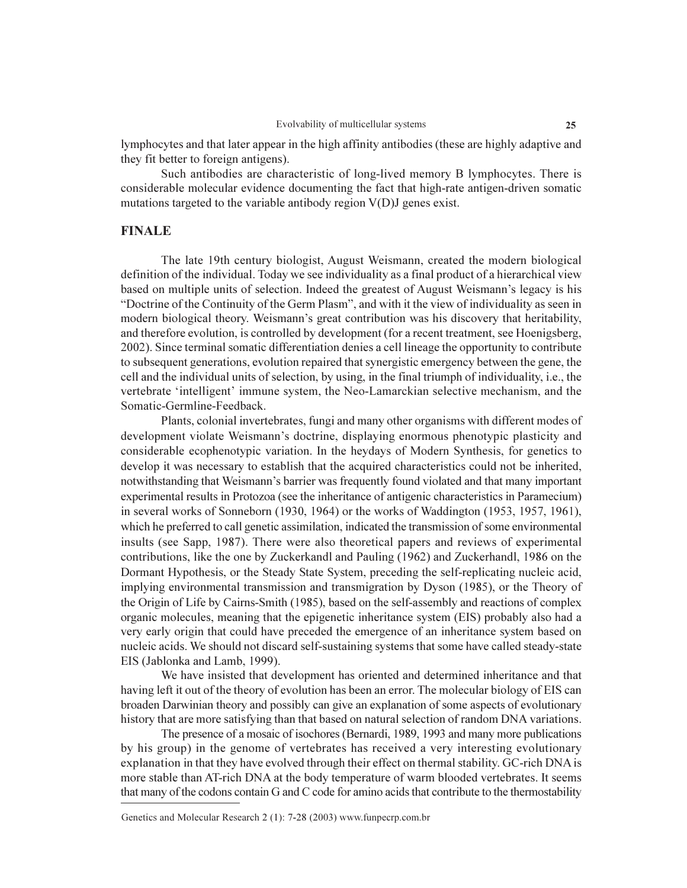lymphocytes and that later appear in the high affinity antibodies (these are highly adaptive and they fit better to foreign antigens).

Such antibodies are characteristic of long-lived memory B lymphocytes. There is considerable molecular evidence documenting the fact that high-rate antigen-driven somatic mutations targeted to the variable antibody region V(D)J genes exist.

### **FINALE**

The late 19th century biologist, August Weismann, created the modern biological definition of the individual. Today we see individuality as a final product of a hierarchical view based on multiple units of selection. Indeed the greatest of August Weismann's legacy is his "Doctrine of the Continuity of the Germ Plasm", and with it the view of individuality as seen in modern biological theory. Weismann's great contribution was his discovery that heritability, and therefore evolution, is controlled by development (for a recent treatment, see Hoenigsberg, 2002). Since terminal somatic differentiation denies a cell lineage the opportunity to contribute to subsequent generations, evolution repaired that synergistic emergency between the gene, the cell and the individual units of selection, by using, in the final triumph of individuality, i.e., the vertebrate 'intelligent' immune system, the Neo-Lamarckian selective mechanism, and the Somatic-Germline-Feedback.

Plants, colonial invertebrates, fungi and many other organisms with different modes of development violate Weismann's doctrine, displaying enormous phenotypic plasticity and considerable ecophenotypic variation. In the heydays of Modern Synthesis, for genetics to develop it was necessary to establish that the acquired characteristics could not be inherited, notwithstanding that Weismann's barrier was frequently found violated and that many important experimental results in Protozoa (see the inheritance of antigenic characteristics in Paramecium) in several works of Sonneborn (1930, 1964) or the works of Waddington (1953, 1957, 1961), which he preferred to call genetic assimilation, indicated the transmission of some environmental insults (see Sapp, 1987). There were also theoretical papers and reviews of experimental contributions, like the one by Zuckerkandl and Pauling (1962) and Zuckerhandl, 1986 on the Dormant Hypothesis, or the Steady State System, preceding the self-replicating nucleic acid, implying environmental transmission and transmigration by Dyson (1985), or the Theory of the Origin of Life by Cairns-Smith (1985), based on the self-assembly and reactions of complex organic molecules, meaning that the epigenetic inheritance system (EIS) probably also had a very early origin that could have preceded the emergence of an inheritance system based on nucleic acids. We should not discard self-sustaining systems that some have called steady-state EIS (Jablonka and Lamb, 1999).

We have insisted that development has oriented and determined inheritance and that having left it out of the theory of evolution has been an error. The molecular biology of EIS can broaden Darwinian theory and possibly can give an explanation of some aspects of evolutionary history that are more satisfying than that based on natural selection of random DNA variations.

The presence of a mosaic of isochores (Bernardi, 1989, 1993 and many more publications by his group) in the genome of vertebrates has received a very interesting evolutionary explanation in that they have evolved through their effect on thermal stability. GC-rich DNA is more stable than AT-rich DNA at the body temperature of warm blooded vertebrates. It seems that many of the codons contain G and C code for amino acids that contribute to the thermostability

Genetics and Molecular Research 2 (1): 7-28 (2003) www.funpecrp.com.br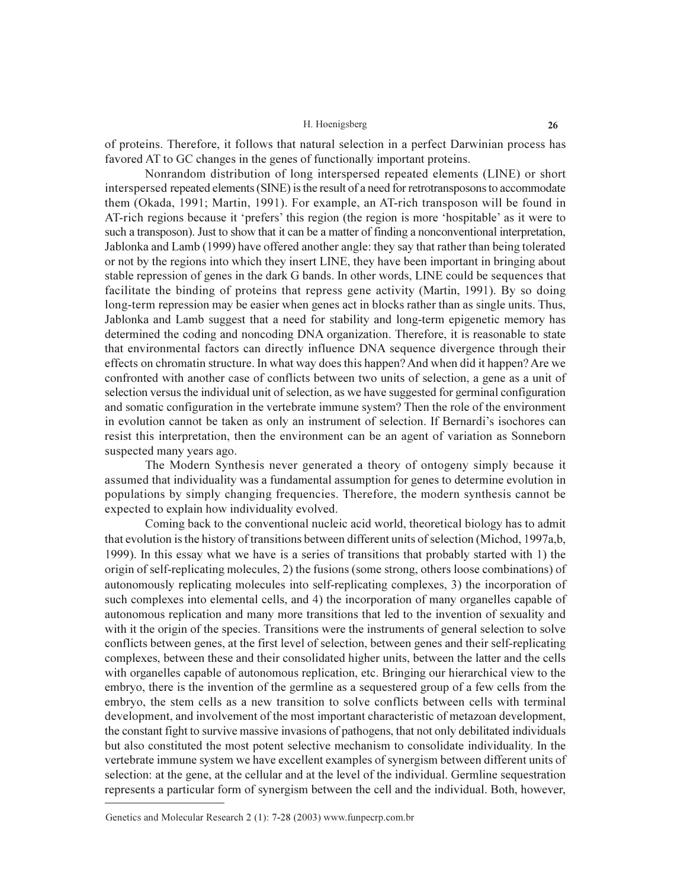of proteins. Therefore, it follows that natural selection in a perfect Darwinian process has favored AT to GC changes in the genes of functionally important proteins.

Nonrandom distribution of long interspersed repeated elements (LINE) or short interspersed repeated elements (SINE) is the result of a need for retrotransposons to accommodate them (Okada, 1991; Martin, 1991). For example, an AT-rich transposon will be found in AT-rich regions because it 'prefers' this region (the region is more 'hospitable' as it were to such a transposon). Just to show that it can be a matter of finding a nonconventional interpretation, Jablonka and Lamb (1999) have offered another angle: they say that rather than being tolerated or not by the regions into which they insert LINE, they have been important in bringing about stable repression of genes in the dark G bands. In other words, LINE could be sequences that facilitate the binding of proteins that repress gene activity (Martin, 1991). By so doing long-term repression may be easier when genes act in blocks rather than as single units. Thus, Jablonka and Lamb suggest that a need for stability and long-term epigenetic memory has determined the coding and noncoding DNA organization. Therefore, it is reasonable to state that environmental factors can directly influence DNA sequence divergence through their effects on chromatin structure. In what way does this happen? And when did it happen? Are we confronted with another case of conflicts between two units of selection, a gene as a unit of selection versus the individual unit of selection, as we have suggested for germinal configuration and somatic configuration in the vertebrate immune system? Then the role of the environment in evolution cannot be taken as only an instrument of selection. If Bernardi's isochores can resist this interpretation, then the environment can be an agent of variation as Sonneborn suspected many years ago.

The Modern Synthesis never generated a theory of ontogeny simply because it assumed that individuality was a fundamental assumption for genes to determine evolution in populations by simply changing frequencies. Therefore, the modern synthesis cannot be expected to explain how individuality evolved.

Coming back to the conventional nucleic acid world, theoretical biology has to admit that evolution is the history of transitions between different units of selection (Michod, 1997a,b, 1999). In this essay what we have is a series of transitions that probably started with 1) the origin of self-replicating molecules, 2) the fusions (some strong, others loose combinations) of autonomously replicating molecules into self-replicating complexes, 3) the incorporation of such complexes into elemental cells, and 4) the incorporation of many organelles capable of autonomous replication and many more transitions that led to the invention of sexuality and with it the origin of the species. Transitions were the instruments of general selection to solve conflicts between genes, at the first level of selection, between genes and their self-replicating complexes, between these and their consolidated higher units, between the latter and the cells with organelles capable of autonomous replication, etc. Bringing our hierarchical view to the embryo, there is the invention of the germline as a sequestered group of a few cells from the embryo, the stem cells as a new transition to solve conflicts between cells with terminal development, and involvement of the most important characteristic of metazoan development, the constant fight to survive massive invasions of pathogens, that not only debilitated individuals but also constituted the most potent selective mechanism to consolidate individuality. In the vertebrate immune system we have excellent examples of synergism between different units of selection: at the gene, at the cellular and at the level of the individual. Germline sequestration represents a particular form of synergism between the cell and the individual. Both, however,

Genetics and Molecular Research 2 (1): 7-28 (2003) www.funpecrp.com.br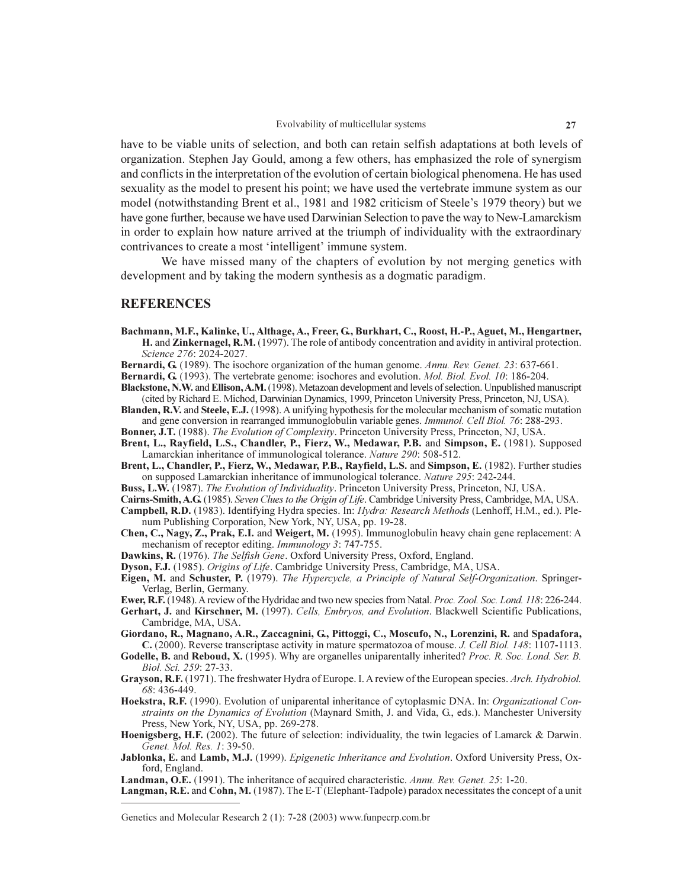have to be viable units of selection, and both can retain selfish adaptations at both levels of organization. Stephen Jay Gould, among a few others, has emphasized the role of synergism and conflicts in the interpretation of the evolution of certain biological phenomena. He has used sexuality as the model to present his point; we have used the vertebrate immune system as our model (notwithstanding Brent et al., 1981 and 1982 criticism of Steele's 1979 theory) but we have gone further, because we have used Darwinian Selection to paye the way to New-Lamarckism in order to explain how nature arrived at the triumph of individuality with the extraordinary contrivances to create a most 'intelligent' immune system.

We have missed many of the chapters of evolution by not merging genetics with development and by taking the modern synthesis as a dogmatic paradigm.

### **REFERENCES**

- Bachmann, M.F., Kalinke, U., Althage, A., Freer, G., Burkhart, C., Roost, H.-P., Aguet, M., Hengartner, H. and Zinkernagel, R.M. (1997). The role of antibody concentration and avidity in antiviral protection. Science 276: 2024-2027.
- Bernardi, G. (1989). The isochore organization of the human genome. Annu. Rev. Genet. 23: 637-661.
- **Bernardi, G.** (1993). The vertebrate genome: isochores and evolution. *Mol. Biol. Evol. 10*: 186-204.
- Blackstone, N.W. and Ellison, A.M. (1998). Metazoan development and levels of selection. Unpublished manuscript (cited by Richard E. Michod, Darwinian Dynamics, 1999, Princeton University Press, Princeton, NJ, USA).
- Blanden, R.V. and Steele, E.J. (1998). A unifying hypothesis for the molecular mechanism of somatic mutation and gene conversion in rearranged immunoglobulin variable genes. Immunol. Cell Biol. 76: 288-293.
- **Bonner, J.T.** (1988). The Evolution of Complexity. Princeton University Press, Princeton, NJ, USA. Brent, L., Rayfield, L.S., Chandler, P., Fierz, W., Medawar, P.B. and Simpson, E. (1981). Supposed Lamarckian inheritance of immunological tolerance. Nature 290: 508-512.
- Brent, L., Chandler, P., Fierz, W., Medawar, P.B., Rayfield, L.S. and Simpson, E. (1982). Further studies on supposed Lamarckian inheritance of immunological tolerance. Nature 295: 242-244.
- Buss, L.W. (1987). The Evolution of Individuality. Princeton University Press, Princeton, NJ, USA.
- Cairns-Smith, A.G. (1985). Seven Clues to the Origin of Life. Cambridge University Press, Cambridge, MA, USA.
- Campbell, R.D. (1983). Identifying Hydra species. In: Hydra: Research Methods (Lenhoff, H.M., ed.). Plenum Publishing Corporation, New York, NY, USA, pp. 19-28.
- Chen, C., Nagy, Z., Prak, E.I. and Weigert, M. (1995). Immunoglobulin heavy chain gene replacement: A mechanism of receptor editing. Immunology 3: 747-755.
- Dawkins, R. (1976). The Selfish Gene. Oxford University Press, Oxford, England.
- Dyson, F.J. (1985). Origins of Life. Cambridge University Press, Cambridge, MA, USA.
- Eigen, M. and Schuster, P. (1979). The Hypercycle, a Principle of Natural Self-Organization. Springer-Verlag, Berlin, Germany.
- Ewer, R.F. (1948). A review of the Hydridae and two new species from Natal. Proc. Zool. Soc. Lond. 118: 226-244.
- Gerhart, J. and Kirschner, M. (1997). Cells, Embryos, and Evolution. Blackwell Scientific Publications, Cambridge, MA, USA.
- Giordano, R., Magnano, A.R., Zaccagnini, G., Pittoggi, C., Moscufo, N., Lorenzini, R. and Spadafora, C. (2000). Reverse transcriptase activity in mature spermatozoa of mouse. J. Cell Biol. 148: 1107-1113.
- **Godelle, B. and Reboud, X.** (1995). Why are organelles uniparentally inherited? *Proc. R. Soc. Lond. Ser. B.* Biol. Sci. 259: 27-33.
- Grayson, R.F. (1971). The freshwater Hydra of Europe. I. A review of the European species. Arch. Hydrobiol. 68:436-449.
- Hoekstra, R.F. (1990). Evolution of uniparental inheritance of cytoplasmic DNA. In: Organizational Constraints on the Dynamics of Evolution (Maynard Smith, J. and Vida, G., eds.). Manchester University Press, New York, NY, USA, pp. 269-278.
- Hoenigsberg, H.F. (2002). The future of selection: individuality, the twin legacies of Lamarck & Darwin. Genet. Mol. Res. 1:39-50.
- Jablonka, E. and Lamb, M.J. (1999). Epigenetic Inheritance and Evolution. Oxford University Press, Oxford, England.
- **Landman, O.E.** (1991). The inheritance of acquired characteristic. Annu. Rev. Genet. 25: 1-20.
- Langman, R.E. and Cohn, M. (1987). The E-T (Elephant-Tadpole) paradox necessitates the concept of a unit

Genetics and Molecular Research 2 (1): 7-28 (2003) www.funpecrp.com.br